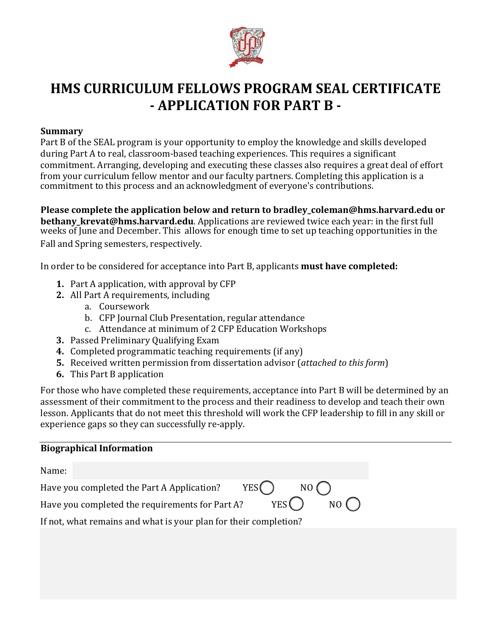

# **HMS CURRICULUM FELLOWS PROGRAM SEAL CERTIFICATE - APPLICATION FOR PART B -**

## **Summary**

Part B of the SEAL program is your opportunity to employ the knowledge and skills developed during Part A to real, classroom-based teaching experiences. This requires a significant commitment. Arranging, developing and executing these classes also requires a great deal of effort from your curriculum fellow mentor and our faculty partners. Completing this application is a commitment to this process and an acknowledgment of everyone's contributions.

**Please complete the application below and return to bradley\_coleman@hms.harvard.edu or bethany krevat@hms.harvard.edu**. Applications are reviewed twice each year: in the first full weeks of June and December. This allows for enough time to set up teaching opportunities in the Fall and Spring semesters, respectively.

In order to be considered for acceptance into Part B, applicants **must have completed:** 

- **1.** Part A application, with approval by CFP
- **2.** All Part A requirements, including
	- a. Coursework
	- b. CFP Journal Club Presentation, regular attendance
	- c. Attendance at minimum of 2 CFP Education Workshops
- **3.** Passed Preliminary Qualifying Exam
- 4. Completed programmatic teaching requirements (if any)
- **5.** Received written permission from dissertation advisor (*attached to this form*)
- **6.** This Part B application

For those who have completed these requirements, acceptance into Part B will be determined by an assessment of their commitment to the process and their readiness to develop and teach their own lesson. Applicants that do not meet this threshold will work the CFP leadership to fill in any skill or experience gaps so they can successfully re-apply.

| <b>Biographical Information</b>                                    |  |  |  |  |
|--------------------------------------------------------------------|--|--|--|--|
| Name:                                                              |  |  |  |  |
| YES (<br>NO (<br>Have you completed the Part A Application?        |  |  |  |  |
| YES (<br>NO ( )<br>Have you completed the requirements for Part A? |  |  |  |  |
| If not, what remains and what is your plan for their completion?   |  |  |  |  |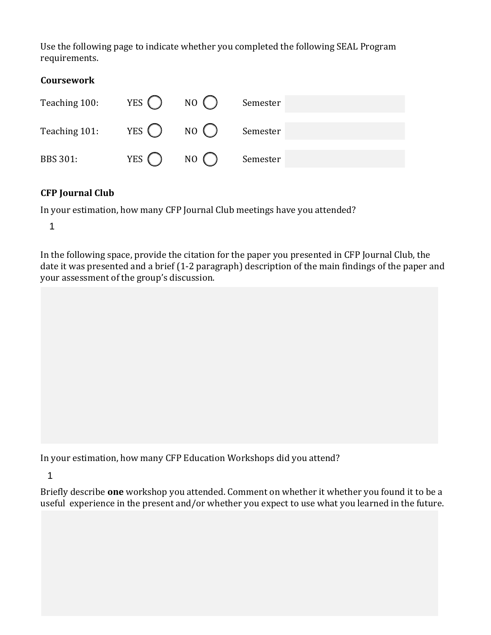Use the following page to indicate whether you completed the following SEAL Program requirements. 

| <b>Coursework</b> |                            |       |          |
|-------------------|----------------------------|-------|----------|
| Teaching 100:     | YES $\left( \quad \right)$ | NO()  | Semester |
| Teaching 101:     | YES $\left( \right)$       | NO()  | Semester |
| <b>BBS 301:</b>   | YES $\left( \right)$       | NO( ) | Semester |

# **CFP** Journal Club

In your estimation, how many CFP Journal Club meetings have you attended?

1

In the following space, provide the citation for the paper you presented in CFP Journal Club, the date it was presented and a brief (1-2 paragraph) description of the main findings of the paper and your assessment of the group's discussion.

In your estimation, how many CFP Education Workshops did you attend?

1

Briefly describe **one** workshop you attended. Comment on whether it whether you found it to be a useful experience in the present and/or whether you expect to use what you learned in the future.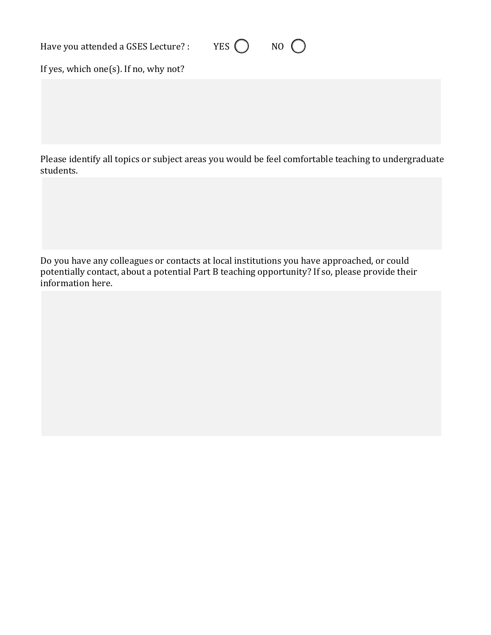Have you attended a GSES Lecture? : YES  $\bigcirc$  NO  $\bigcirc$ 

If yes, which one(s). If no, why not?

Please identify all topics or subject areas you would be feel comfortable teaching to undergraduate students. 

Do you have any colleagues or contacts at local institutions you have approached, or could potentially contact, about a potential Part B teaching opportunity? If so, please provide their information here.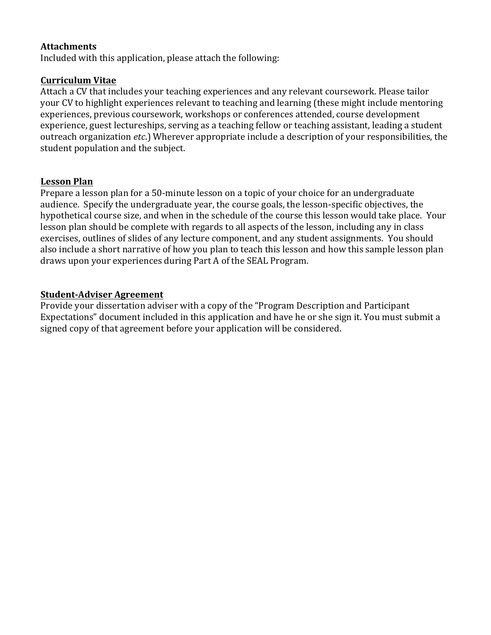#### **Attachments**

Included with this application, please attach the following:

#### **Curriculum Vitae**

Attach a CV that includes your teaching experiences and any relevant coursework. Please tailor your CV to highlight experiences relevant to teaching and learning (these might include mentoring experiences, previous coursework, workshops or conferences attended, course development experience, guest lectureships, serving as a teaching fellow or teaching assistant, leading a student outreach organization *etc*.) Wherever appropriate include a description of your responsibilities, the student population and the subject.

## **Lesson Plan**

Prepare a lesson plan for a 50-minute lesson on a topic of your choice for an undergraduate audience. Specify the undergraduate year, the course goals, the lesson-specific objectives, the hypothetical course size, and when in the schedule of the course this lesson would take place. Your lesson plan should be complete with regards to all aspects of the lesson, including any in class exercises, outlines of slides of any lecture component, and any student assignments. You should also include a short narrative of how you plan to teach this lesson and how this sample lesson plan draws upon your experiences during Part A of the SEAL Program.

## **Student-Adviser Agreement**

Provide your dissertation adviser with a copy of the "Program Description and Participant Expectations" document included in this application and have he or she sign it. You must submit a signed copy of that agreement before your application will be considered.